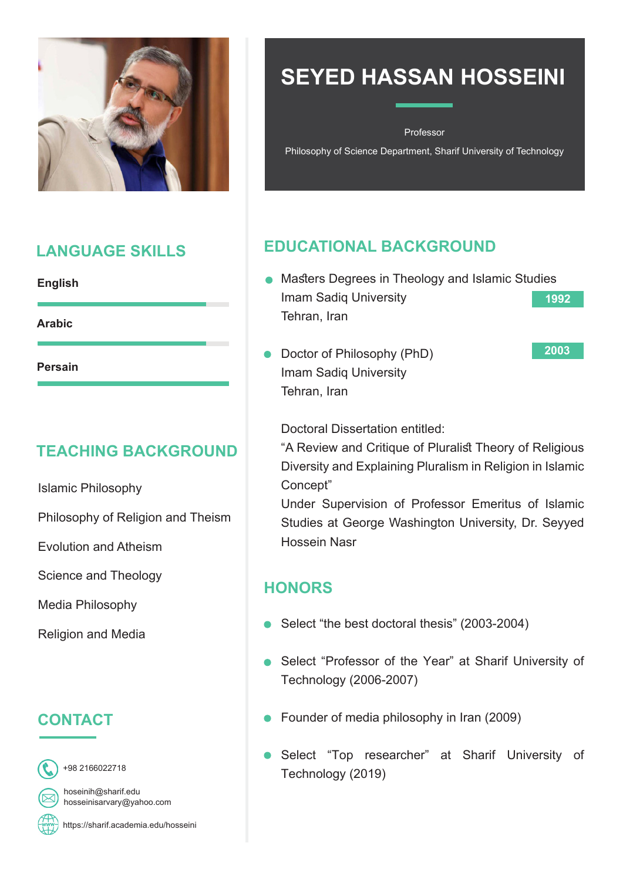

#### **LANGUAGE SKILLS**

| L<br>in de la provincia de la construcción de la construcción de la construcción de la construcción de la construcc<br>Construcción de la construcción de la construcción de la construcción de la construcción de la construcción de<br>ı<br>U |
|-------------------------------------------------------------------------------------------------------------------------------------------------------------------------------------------------------------------------------------------------|
|-------------------------------------------------------------------------------------------------------------------------------------------------------------------------------------------------------------------------------------------------|

**Arabic**

**Persain**

### **TEACHING BACKGROUND**

**Islamic Philosophy** 

Philosophy of Religion and Theism

**Fyolution and Atheism** 

Science and Theology

Media Philosophy

**Religion and Media** 

### **CONTACT**



2166022718 +98

hoseinih@sharif.edu hosseinisarvary@yahoo.com

https://sharif.academia.edu/hosseini

# **SEYED HASSAN HOSSEINI**

Professor

Philosophy of Science Department, Sharif University of Technology

### **EDUCATIONAL BACKGROUND**

- Masters Degrees in Theology and Islamic Studies Imam Sadiq University Tehran, Iran **1992**
- Doctor of Philosophy (PhD) Imam Sadiq University Tehran, Iran

**2003**

Doctoral Dissertation entitled:

"A Review and Critique of Pluralist Theory of Religious Diversity and Explaining Pluralism in Religion in Islamic "Concept

Under Supervision of Professor Emeritus of Islamic Studies at George Washington University, Dr. Seyyed Hossein Nasr

### **HONORS**

- Select "the best doctoral thesis" (2003-2004)
- Select "Professor of the Year" at Sharif University of (2006-2007) Technology
- $\bullet$  Founder of media philosophy in Iran (2009)
- **•** Select "Top researcher" at Sharif University of Technology (2019)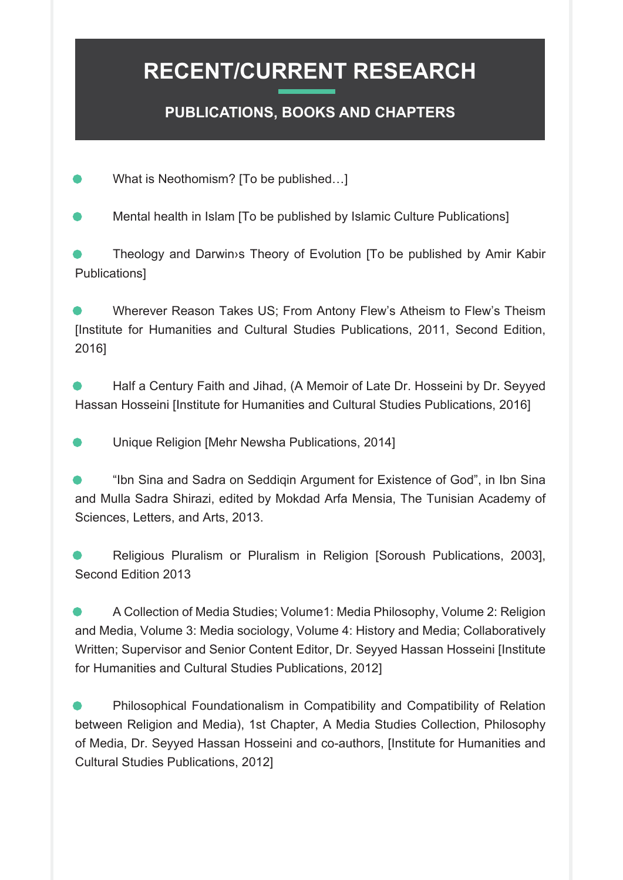#### **PUBLICATIONS, BOOKS AND CHAPTERS**

What is Neothomism? [To be published...]

Mental health in Islam [To be published by Islamic Culture Publications]

Theology and Darwin>s Theory of Evolution [To be published by Amir Kabir Publications]

Wherever Reason Takes US; From Antony Flew's Atheism to Flew's Theism [Institute for Humanities and Cultural Studies Publications, 2011, Second Edition, [2016

Half a Century Faith and Jihad, (A Memoir of Late Dr. Hosseini by Dr. Seyyed Hassan Hosseini [Institute for Humanities and Cultural Studies Publications, 2016]

Unique Religion [Mehr Newsha Publications, 2014]

"Ibn Sina and Sadra on Seddigin Argument for Existence of God", in Ibn Sina and Mulla Sadra Shirazi, edited by Mokdad Arfa Mensia, The Tunisian Academy of Sciences, Letters, and Arts, 2013.

Religious Pluralism or Pluralism in Religion [Soroush Publications, 2003]. Second Edition 2013

A Collection of Media Studies: Volume1: Media Philosophy, Volume 2: Religion and Media, Volume 3: Media sociology, Volume 4: History and Media: Collaboratively Written: Supervisor and Senior Content Editor. Dr. Seyved Hassan Hosseini Ilnstitute for Humanities and Cultural Studies Publications, 2012]

Philosophical Foundationalism in Compatibility and Compatibility of Relation between Religion and Media), 1st Chapter, A Media Studies Collection, Philosophy of Media, Dr. Seyyed Hassan Hosseini and co-authors, [Institute for Humanities and Cultural Studies Publications, 20121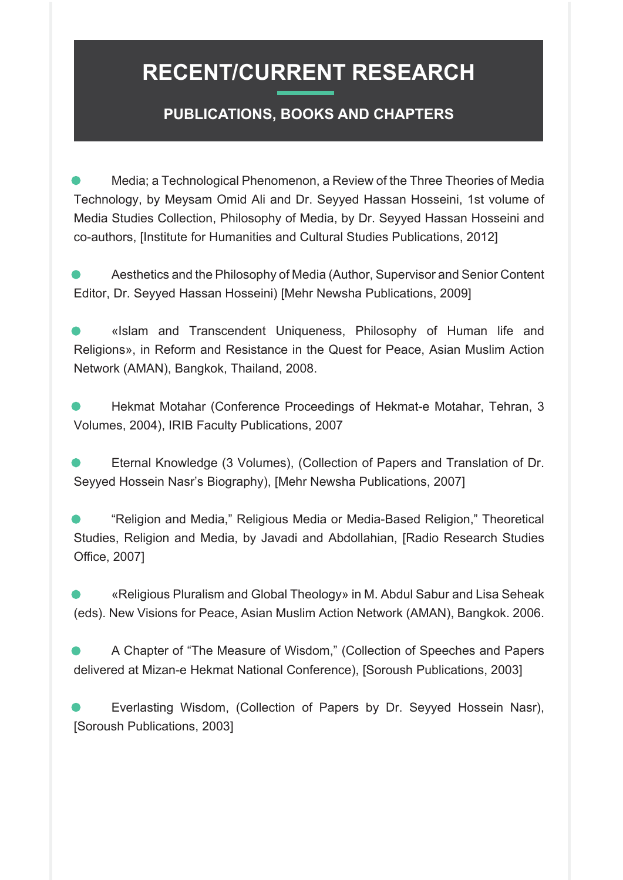#### **PUBLICATIONS, BOOKS AND CHAPTERS**

Media; a Technological Phenomenon, a Review of the Three Theories of Media Technology, by Meysam Omid Ali and Dr. Seyyed Hassan Hosseini, 1st volume of Media Studies Collection, Philosophy of Media, by Dr. Seyyed Hassan Hosseini and co-authors, [Institute for Humanities and Cultural Studies Publications, 2012]

Aesthetics and the Philosophy of Media (Author, Supervisor and Senior Content Editor, Dr. Seyyed Hassan Hosseini) [Mehr Newsha Publications, 2009]

«Islam and Transcendent Uniqueness, Philosophy of Human life and Religions», in Reform and Resistance in the Quest for Peace, Asian Muslim Action Network (AMAN), Bangkok, Thailand, 2008.

Hekmat Motahar (Conference Proceedings of Hekmat-e Motahar, Tehran, 3 Volumes, 2004), IRIB Faculty Publications, 2007

Eternal Knowledge (3 Volumes), (Collection of Papers and Translation of Dr. Seyyed Hossein Nasr's Biography), [Mehr Newsha Publications, 2007]

"Religion and Media," Religious Media or Media-Based Religion," Theoretical Studies, Religion and Media, by Javadi and Abdollahian, [Radio Research Studies Office, 2007]

«Religious Pluralism and Global Theology» in M. Abdul Sabur and Lisa Seheak (eds). New Visions for Peace, Asian Muslim Action Network (AMAN), Bangkok. 2006.

A Chapter of "The Measure of Wisdom," (Collection of Speeches and Papers delivered at Mizan-e Hekmat National Conference), [Soroush Publications, 2003]

Everlasting Wisdom, (Collection of Papers by Dr. Seyyed Hossein Nasr), [Soroush Publications, 2003]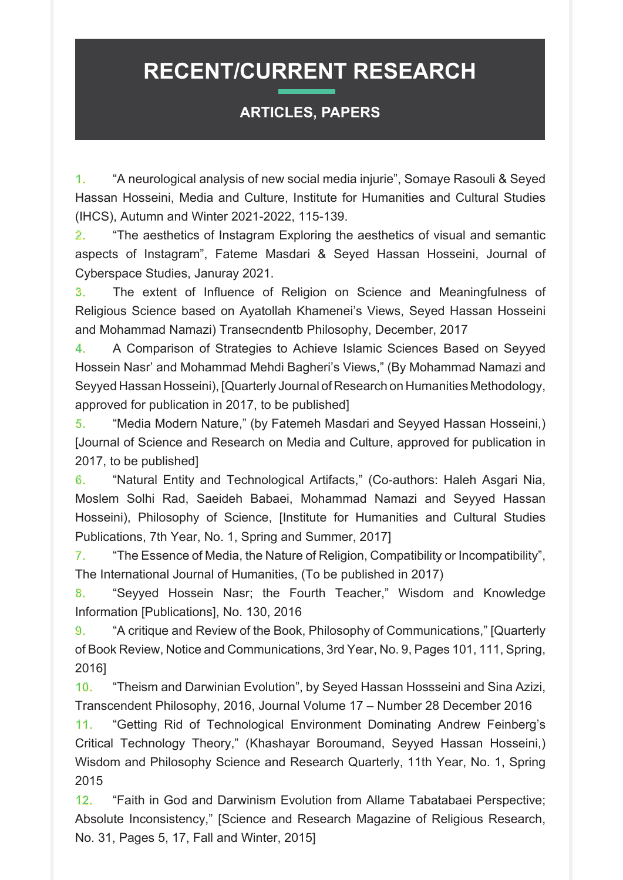#### **ARTICLES, PAPERS**

1. "A neurological analysis of new social media injurie", Somaye Rasouli & Seyed Hassan Hosseini, Media and Culture, Institute for Humanities and Cultural Studies (IHCS), Autumn and Winter 2021-2022, 115-139.

2. "The aesthetics of Instagram Exploring the aesthetics of visual and semantic aspects of Instagram", Fateme Masdari & Seyed Hassan Hosseini, Journal of Cyberspace Studies, Januray 2021.

3. The extent of Influence of Religion on Science and Meaningfulness of Religious Science based on Ayatollah Khamenei's Views, Seyed Hassan Hosseini and Mohammad Namazi) Transecndentb Philosophy, December, 2017

4. A Comparison of Strategies to Achieve Islamic Sciences Based on Seyyed Hossein Nasr' and Mohammad Mehdi Bagheri's Views," (By Mohammad Namazi and Seyyed Hassan Hosseini), [Quarterly Journal of Research on Humanities Methodology, approved for publication in 2017, to be published]

5. "Media Modern Nature," (by Fatemeh Masdari and Seyyed Hassan Hosseini,) I Journal of Science and Research on Media and Culture, approved for publication in 2017, to be published l

6. "Natural Entity and Technological Artifacts," (Co-authors: Haleh Asgari Nia, Moslem Solhi Rad, Saeideh Babaei, Mohammad Namazi and Seyyed Hassan Hosseini), Philosophy of Science, [Institute for Humanities and Cultural Studies Publications, 7th Year, No. 1, Spring and Summer, 20171

7. The Essence of Media, the Nature of Religion, Compatibility or Incompatibility", The International Journal of Humanities, (To be published in 2017)

8. "Seyyed Hossein Nasr; the Fourth Teacher," Wisdom and Knowledge Information [Publications], No. 130, 2016

**9.** "A critique and Review of the Book. Philosophy of Communications." [Quarterly of Book Review, Notice and Communications, 3rd Year, No. 9, Pages 101, 111, Spring, [2016

10. "Theism and Darwinian Evolution", by Seyed Hassan Hossseini and Sina Azizi, Transcendent Philosophy, 2016, Journal Volume 17 – Number 28 December 2016

11. "Getting Rid of Technological Environment Dominating Andrew Feinberg's Critical Technology Theory," (Khashayar Boroumand, Seyyed Hassan Hosseini,) Wisdom and Philosophy Science and Research Quarterly, 11th Year, No. 1, Spring 2015

12. "Faith in God and Darwinism Evolution from Allame Tabatabaei Perspective; Absolute Inconsistency." [Science and Research Magazine of Religious Research, No. 31, Pages 5, 17, Fall and Winter, 2015]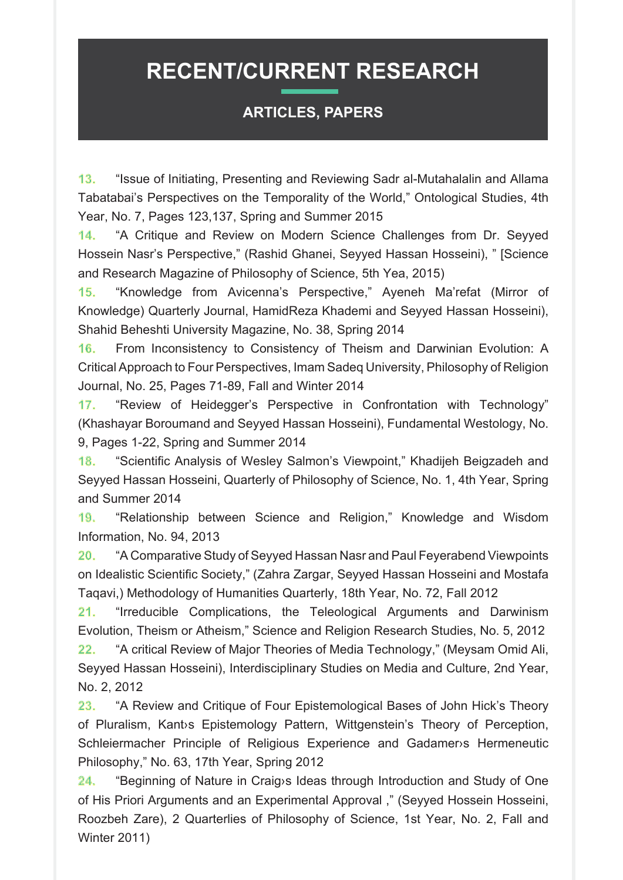#### **ARTICLES, PAPERS**

13. "Issue of Initiating, Presenting and Reviewing Sadr al-Mutahalalin and Allama Tabatabai's Perspectives on the Temporality of the World," Ontological Studies, 4th Year, No. 7, Pages 123,137, Spring and Summer 2015

14. "A Critique and Review on Modern Science Challenges from Dr. Seyyed Hossein Nasr's Perspective," (Rashid Ghanei, Seyyed Hassan Hosseini), " [Science and Research Magazine of Philosophy of Science, 5th Yea, 2015)

15. "Knowledge from Avicenna's Perspective," Ayeneh Ma'refat (Mirror of Knowledge) Quarterly Journal, HamidReza Khademi and Seyyed Hassan Hosseini), Shahid Beheshti University Magazine, No. 38, Spring 2014

16. From Inconsistency to Consistency of Theism and Darwinian Evolution: A Critical Approach to Four Perspectives, Imam Sadeq University, Philosophy of Religion Journal, No. 25, Pages 71-89, Fall and Winter 2014

17. "Review of Heidegger's Perspective in Confrontation with Technology" (Khashayar Boroumand and Seyyed Hassan Hosseini), Fundamental Westology, No. 9. Pages 1-22, Spring and Summer 2014

18. "Scientific Analysis of Wesley Salmon's Viewpoint," Khadijeh Beigzadeh and Seyyed Hassan Hosseini, Quarterly of Philosophy of Science, No. 1, 4th Year, Spring and Summer 2014

19. "Relationship between Science and Religion," Knowledge and Wisdom Information, No. 94, 2013

10. "A Comparative Study of Seyyed Hassan Nasr and Paul Feyerabend Viewpoints on Idealistic Scientific Society," (Zahra Zargar, Seyyed Hassan Hosseini and Mostafa Tagavi,) Methodology of Humanities Quarterly, 18th Year, No. 72, Fall 2012

21. "Irreducible Complications, the Teleological Arguments and Darwinism Evolution, Theism or Atheism," Science and Religion Research Studies, No. 5, 2012

22. "A critical Review of Major Theories of Media Technology." (Meysam Omid Ali. Seyyed Hassan Hosseini), Interdisciplinary Studies on Media and Culture, 2nd Year, No. 2, 2012

23. "A Review and Critique of Four Epistemological Bases of John Hick's Theory of Pluralism, Kant is Epistemology Pattern, Wittgenstein's Theory of Perception, Schleiermacher Principle of Religious Experience and Gadamers Hermeneutic Philosophy." No. 63, 17th Year, Spring 2012

24. "Beginning of Nature in Craig is Ideas through Introduction and Study of One of His Priori Arguments and an Experimental Approval ," (Seyyed Hossein Hosseini, Roozbeh Zare), 2 Quarterlies of Philosophy of Science, 1st Year, No. 2. Fall and **Winter 2011)**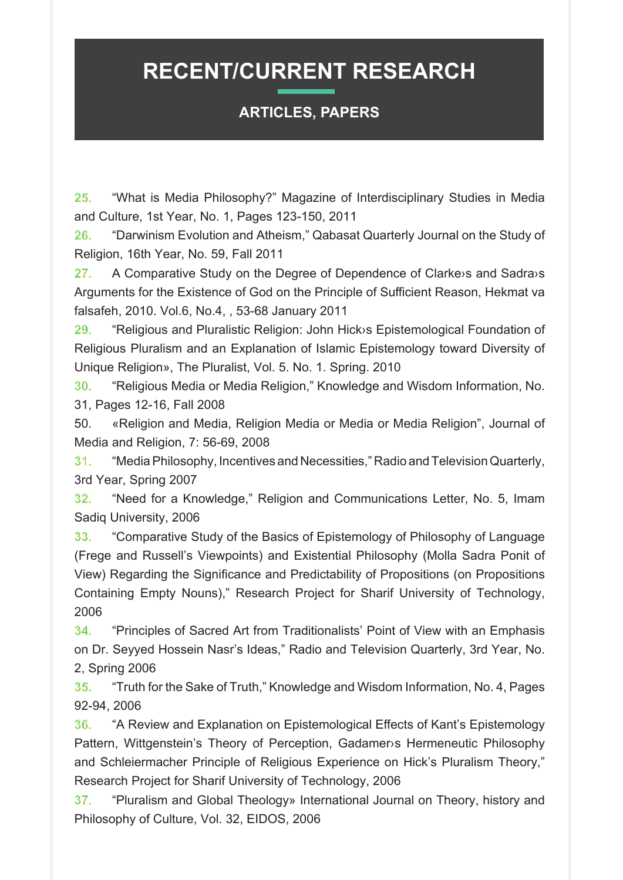#### **ARTICLES, PAPERS**

25. "What is Media Philosophy?" Magazine of Interdisciplinary Studies in Media and Culture, 1st Year, No. 1, Pages 123-150, 2011

26. "Darwinism Evolution and Atheism," Qabasat Quarterly Journal on the Study of Religion, 16th Year, No. 59, Fall 2011

27. A Comparative Study on the Degree of Dependence of Clarke is and Sadra is Arguments for the Existence of God on the Principle of Sufficient Reason, Hekmat va falsafeh, 2010. Vol.6, No.4,, 53-68 January 2011

29. "Religious and Pluralistic Religion: John Hick is Epistemological Foundation of Religious Pluralism and an Explanation of Islamic Epistemology toward Diversity of Unique Religion», The Pluralist, Vol. 5. No. 1. Spring. 2010

30. "Religious Media or Media Religion," Knowledge and Wisdom Information, No. 31, Pages 12-16, Fall 2008

50. «Religion and Media, Religion Media or Media or Media Religion", Journal of Media and Religion, 7: 56-69, 2008

31. "Media Philosophy, Incentives and Necessities," Radio and Television Quarterly, 3rd Year, Spring 2007

**32.** "Need for a Knowledge," Religion and Communications Letter, No. 5, Imam Sadiq University, 2006

**33.** "Comparative Study of the Basics of Epistemology of Philosophy of Language (Frege and Russell's Viewpoints) and Existential Philosophy (Molla Sadra Ponit of View) Regarding the Significance and Predictability of Propositions (on Propositions Containing Empty Nouns)," Research Project for Sharif University of Technology, 2006

**34.** "Principles of Sacred Art from Traditionalists' Point of View with an Emphasis on Dr. Seyyed Hossein Nasr's Ideas," Radio and Television Quarterly, 3rd Year, No. 2, Spring 2006

35. "Truth for the Sake of Truth," Knowledge and Wisdom Information, No. 4, Pages 92-94, 2006

**36.** "A Review and Explanation on Epistemological Effects of Kant's Epistemology Pattern, Wittgenstein's Theory of Perception, Gadamer & Hermeneutic Philosophy and Schleiermacher Principle of Religious Experience on Hick's Pluralism Theory." Research Project for Sharif University of Technology, 2006

37. "Pluralism and Global Theology» International Journal on Theory, history and Philosophy of Culture, Vol. 32, EIDOS, 2006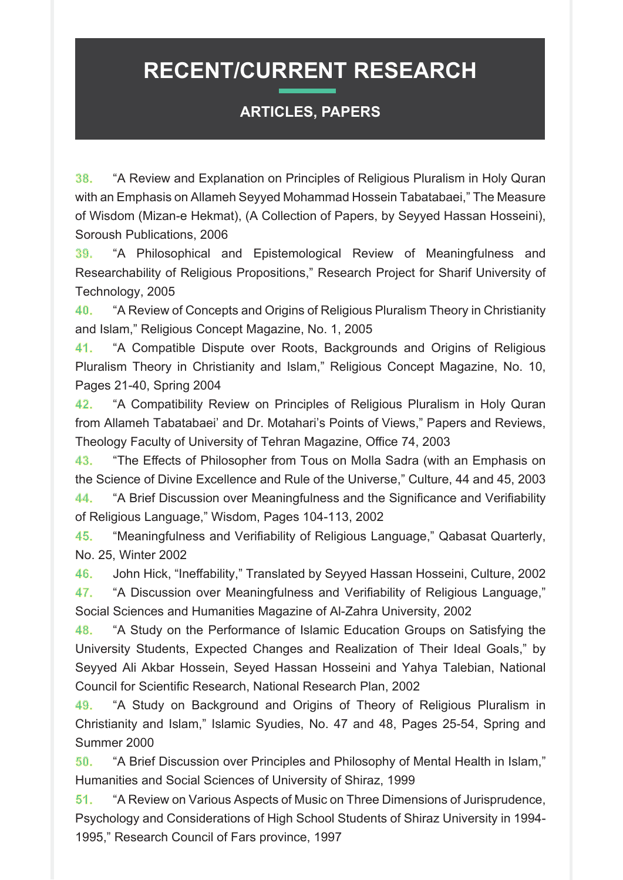#### **ARTICLES, PAPERS**

38. "A Review and Explanation on Principles of Religious Pluralism in Holy Quran with an Emphasis on Allameh Seyyed Mohammad Hossein Tabatabaei," The Measure of Wisdom (Mizan-e Hekmat), (A Collection of Papers, by Seyved Hassan Hosseini), Soroush Publications. 2006

39. "A Philosophical and Epistemological Review of Meaningfulness and Researchability of Religious Propositions." Research Project for Sharif University of Technology, 2005

40. "A Review of Concepts and Origins of Religious Pluralism Theory in Christianity and Islam." Religious Concept Magazine, No. 1, 2005

41. "A Compatible Dispute over Roots, Backgrounds and Origins of Religious Pluralism Theory in Christianity and Islam," Religious Concept Magazine, No. 10, Pages 21-40, Spring 2004

42. "A Compatibility Review on Principles of Religious Pluralism in Holy Quran from Allameh Tabatabaei' and Dr. Motahari's Points of Views." Papers and Reviews. Theology Faculty of University of Tehran Magazine, Office 74, 2003

43. "The Effects of Philosopher from Tous on Molla Sadra (with an Emphasis on the Science of Divine Excellence and Rule of the Universe," Culture, 44 and 45, 2003 44. "A Brief Discussion over Meaningfulness and the Significance and Verifiability

of Religious Language," Wisdom, Pages 104-113, 2002

45. "Meaningfulness and Verifiability of Religious Language," Qabasat Quarterly, No. 25, Winter 2002

46. John Hick, "Ineffability," Translated by Seyyed Hassan Hosseini, Culture, 2002 47. "A Discussion over Meaningfulness and Verifiability of Religious Language," Social Sciences and Humanities Magazine of Al-Zahra University, 2002

48. "A Study on the Performance of Islamic Education Groups on Satisfying the University Students, Expected Changes and Realization of Their Ideal Goals," by Seyyed Ali Akbar Hossein, Seyed Hassan Hosseini and Yahya Talebian, National Council for Scientific Research, National Research Plan, 2002

49. "A Study on Background and Origins of Theory of Religious Pluralism in Christianity and Islam," Islamic Syudies, No. 47 and 48, Pages 25-54, Spring and Summer 2000

50. "A Brief Discussion over Principles and Philosophy of Mental Health in Islam," Humanities and Social Sciences of University of Shiraz, 1999

51. "A Review on Various Aspects of Music on Three Dimensions of Jurisprudence, Psychology and Considerations of High School Students of Shiraz University in 1994-1995," Research Council of Fars province, 1997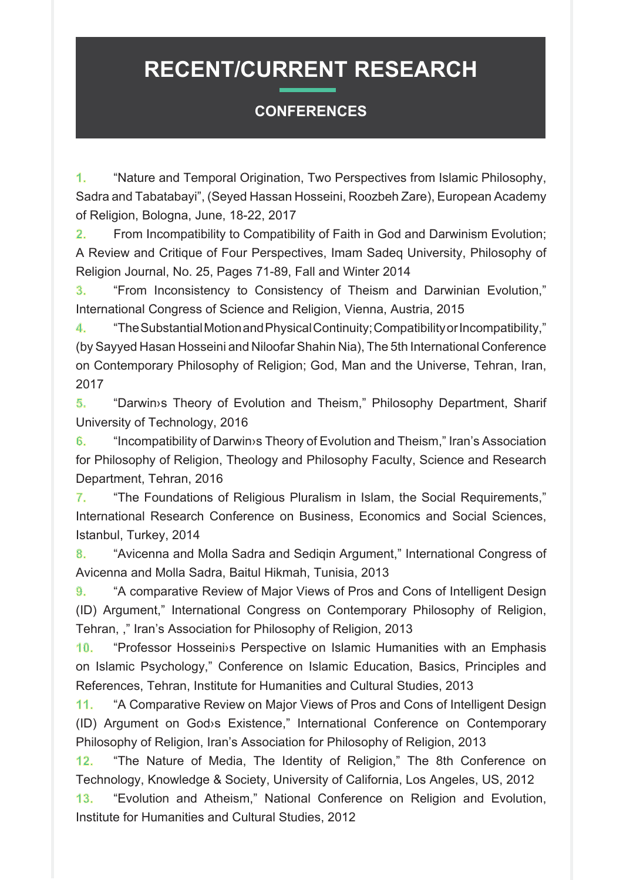#### **CONFERENCES**

1. "Nature and Temporal Origination, Two Perspectives from Islamic Philosophy, Sadra and Tabatabayi", (Seyed Hassan Hosseini, Roozbeh Zare), European Academy of Religion, Bologna, June, 18-22, 2017

2. From Incompatibility to Compatibility of Faith in God and Darwinism Evolution; A Review and Critique of Four Perspectives, Imam Sadeq University, Philosophy of Religion Journal, No. 25, Pages 71-89, Fall and Winter 2014

3. "From Inconsistency to Consistency of Theism and Darwinian Evolution," International Congress of Science and Religion. Vienna, Austria, 2015

4. **The Substantial Motion and Physical Continuity: Compatibility or Incompatibility."** (by Sayyed Hasan Hosseini and Niloofar Shahin Nia), The 5th International Conference on Contemporary Philosophy of Religion; God, Man and the Universe, Tehran, Iran, 2017

5. "Darwin<sup>s</sup> Theory of Evolution and Theism," Philosophy Department, Sharif University of Technology, 2016

6. "Incompatibility of Darwin systheory of Evolution and Theism." Iran's Association for Philosophy of Religion, Theology and Philosophy Faculty, Science and Research Department, Tehran, 2016

7. "The Foundations of Religious Pluralism in Islam, the Social Requirements." International Research Conference on Business. Economics and Social Sciences. Istanbul, Turkey, 2014

8. "Avicenna and Molla Sadra and Sedigin Argument," International Congress of Avicenna and Molla Sadra, Baitul Hikmah, Tunisia, 2013

9. "A comparative Review of Major Views of Pros and Cons of Intelligent Design (ID) Argument," International Congress on Contemporary Philosophy of Religion, Tehran, ," Iran's Association for Philosophy of Religion, 2013

10. "Professor Hosseinis Perspective on Islamic Humanities with an Emphasis on Islamic Psychology," Conference on Islamic Education, Basics, Principles and References, Tehran, Institute for Humanities and Cultural Studies, 2013

11. "A Comparative Review on Major Views of Pros and Cons of Intelligent Design (ID) Argument on God>s Existence," International Conference on Contemporary Philosophy of Religion, Iran's Association for Philosophy of Religion, 2013

12. "The Nature of Media, The Identity of Religion," The 8th Conference on Technology, Knowledge & Society, University of California, Los Angeles, US, 2012

13. "Evolution and Atheism," National Conference on Religion and Evolution, Institute for Humanities and Cultural Studies, 2012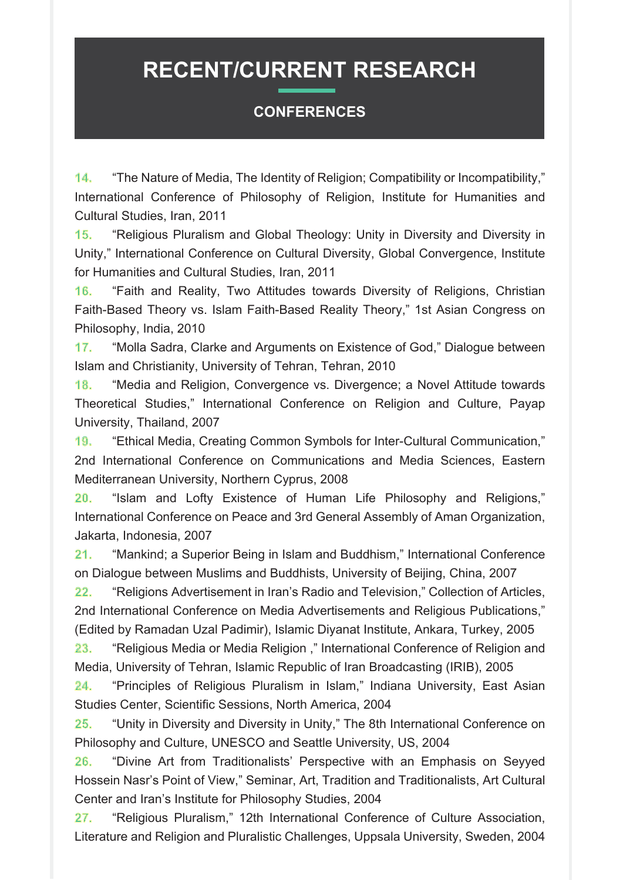#### **CONFERENCES**

14. "The Nature of Media, The Identity of Religion: Compatibility or Incompatibility," International Conference of Philosophy of Religion, Institute for Humanities and Cultural Studies, Iran, 2011

15. "Religious Pluralism and Global Theology: Unity in Diversity and Diversity in Unity," International Conference on Cultural Diversity, Global Convergence, Institute for Humanities and Cultural Studies, Iran, 2011

16. "Faith and Reality, Two Attitudes towards Diversity of Religions, Christian Faith-Based Theory vs. Islam Faith-Based Reality Theory," 1st Asian Congress on Philosophy, India, 2010

17. "Molla Sadra, Clarke and Arguments on Existence of God," Dialogue between Islam and Christianity, University of Tehran, Tehran, 2010

18. "Media and Religion, Convergence vs. Divergence; a Novel Attitude towards Theoretical Studies," International Conference on Religion and Culture, Payap University, Thailand, 2007

19. "Ethical Media, Creating Common Symbols for Inter-Cultural Communication," 2nd International Conference on Communications and Media Sciences, Eastern Mediterranean University, Northern Cyprus, 2008

20. "Islam and Lofty Existence of Human Life Philosophy and Religions," International Conference on Peace and 3rd General Assembly of Aman Organization, Jakarta, Indonesia, 2007

21. "Mankind: a Superior Being in Islam and Buddhism," International Conference on Dialogue between Muslims and Buddhists, University of Beijing, China, 2007

22. "Religions Advertisement in Iran's Radio and Television," Collection of Articles, 2nd International Conference on Media Advertisements and Religious Publications," (Edited by Ramadan Uzal Padimir), Islamic Diyanat Institute, Ankara, Turkey, 2005

23. "Religious Media or Media Religion," International Conference of Religion and Media, University of Tehran, Islamic Republic of Iran Broadcasting (IRIB), 2005

24. "Principles of Religious Pluralism in Islam," Indiana University, East Asian Studies Center, Scientific Sessions, North America, 2004

**25.** "Unity in Diversity and Diversity in Unity," The 8th International Conference on Philosophy and Culture, UNESCO and Seattle University, US, 2004

26. "Divine Art from Traditionalists' Perspective with an Emphasis on Seyyed Hossein Nasr's Point of View," Seminar, Art, Tradition and Traditionalists, Art Cultural Center and Iran's Institute for Philosophy Studies, 2004

27. "Religious Pluralism," 12th International Conference of Culture Association, Literature and Religion and Pluralistic Challenges, Uppsala University, Sweden, 2004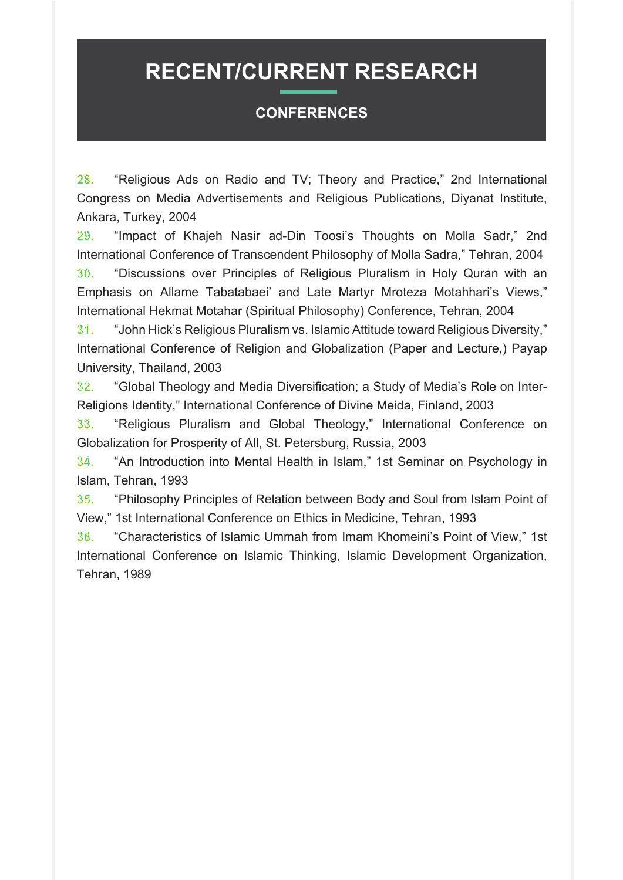#### **CONFERENCES**

28. "Religious Ads on Radio and TV; Theory and Practice," 2nd International Congress on Media Advertisements and Religious Publications, Diyanat Institute, Ankara, Turkey, 2004

29. "Impact of Khajeh Nasir ad-Din Toosi's Thoughts on Molla Sadr," 2nd International Conference of Transcendent Philosophy of Molla Sadra," Tehran, 2004 30. "Discussions over Principles of Religious Pluralism in Holy Quran with an Emphasis on Allame Tabatabaei' and Late Martyr Mroteza Motahhari's Views," International Hekmat Motahar (Spiritual Philosophy) Conference, Tehran, 2004

",<sup>31</sup> Uohn Hick's Religious Pluralism vs. Islamic Attitude toward Religious Diversity, International Conference of Religion and Globalization (Paper and Lecture.) Payap University, Thailand, 2003

32. "Global Theology and Media Diversification; a Study of Media's Role<br>Religions Identity," International Conference of Divine Meida, Finland, 2003 "Global Theology and Media Diversification; a Study of Media's Role on Inter-

33. "Religious Pluralism and Global Theology," International Conference on Globalization for Prosperity of All, St. Petersburg, Russia, 2003

34. "An Introduction into Mental Health in Islam," 1st Seminar on Psychology in Islam, Tehran, 1993

35. "Philosophy Principles of Relation between Body and Soul from Islam Point of View," 1st International Conference on Ethics in Medicine, Tehran, 1993

36. "Characteristics of Islamic Ummah from Imam Khomeini's Point of View," 1st International Conference on Islamic Thinking, Islamic Development Organization, Tehran, 1989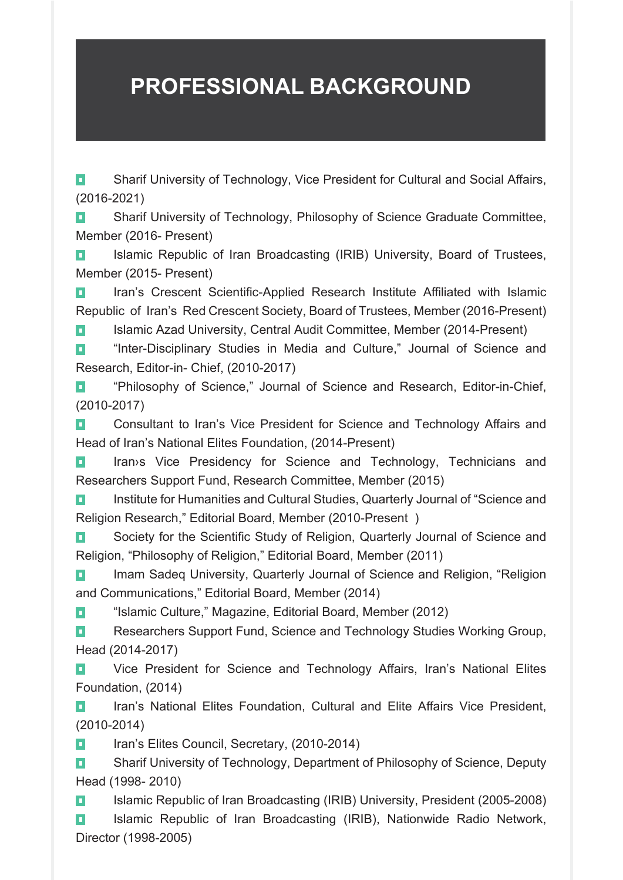### **PROFESSIONAL BACKGROUND**

**T** Sharif University of Technology, Vice President for Cultural and Social Affairs, (2016-2021)

**D** Sharif University of Technology, Philosophy of Science Graduate Committee, Member (2016- Present)

**T** Islamic Republic of Iran Broadcasting (IRIB) University, Board of Trustees, Member (2015- Present)

**I** Iran's Crescent Scientific-Applied Research Institute Affiliated with Islamic Republic of Iran's Red Crescent Society, Board of Trustees, Member (2016-Present)

**Present** (Present) Islamic Azad University, Central Audit Committee, Member (2014- Present)

**1** "Inter-Disciplinary Studies in Media and Culture," Journal of Science and Research, Editor-in- Chief, (2010-2017)

**1** "Philosophy of Science," Journal of Science and Research, Editor-in-Chief, (2010-2017)

**D** Consultant to Iran's Vice President for Science and Technology Affairs and Head of Iran's National Elites Foundation, (2014-Present)

**D** Iran>s Vice Presidency for Science and Technology, Technicians and Researchers Support Fund, Research Committee, Member (2015)

**D** Institute for Humanities and Cultural Studies, Quarterly Journal of "Science and Religion Research," Editorial Board, Member (2010-Present)

**D** Society for the Scientific Study of Religion, Quarterly Journal of Science and Religion, "Philosophy of Religion," Editorial Board, Member (2011)

**Religion 1** Imam Sadeq University, Quarterly Journal of Science and Religion, "Religion and Communications," Editorial Board, Member (2014)

**1** "Islamic Culture," Magazine, Editorial Board, Member (2012)

**Researchers Support Fund, Science and Technology Studies Working Group,** (2014-2017) Head

**Elites** Vice President for Science and Technology Affairs, Iran's National Elites Foundation, (2014)

**D** Iran's National Elites Foundation, Cultural and Elite Affairs Vice President, (2010-2014)

**T** Iran's Elites Council, Secretary, (2010-2014)

Deputy Sharif University of Technology, Department of Philosophy of Science, Deputy Head (1998-2010)

**D** Islamic Republic of Iran Broadcasting (IRIB) University, President (2005-2008) **D** Islamic Republic of Iran Broadcasting (IRIB), Nationwide Radio Network, (1998-2005) Director